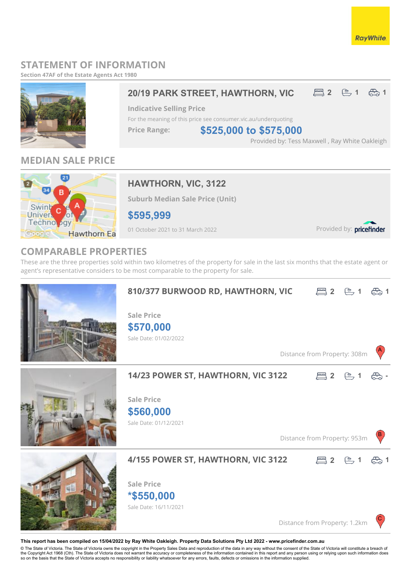### **RayWhite**

## **STATEMENT OF INFORMATION**

**Section 47AF of the Estate Agents Act 1980**



## **MEDIAN SALE PRICE**



## **HAWTHORN, VIC, 3122**

**Suburb Median Sale Price (Unit)**

**\$595,999**

01 October 2021 to 31 March 2022

Provided by: pricefinder

## **COMPARABLE PROPERTIES**

These are the three properties sold within two kilometres of the property for sale in the last six months that the estate agent or agent's representative considers to be most comparable to the property for sale.



#### **This report has been compiled on 15/04/2022 by Ray White Oakleigh. Property Data Solutions Pty Ltd 2022 - www.pricefinder.com.au**

© The State of Victoria. The State of Victoria owns the copyright in the Property Sales Data and reproduction of the data in any way without the consent of the State of Victoria will constitute a breach of<br>the Copyright Ac so on the basis that the State of Victoria accepts no responsibility or liability whatsoever for any errors, faults, defects or omissions in the information supplied.